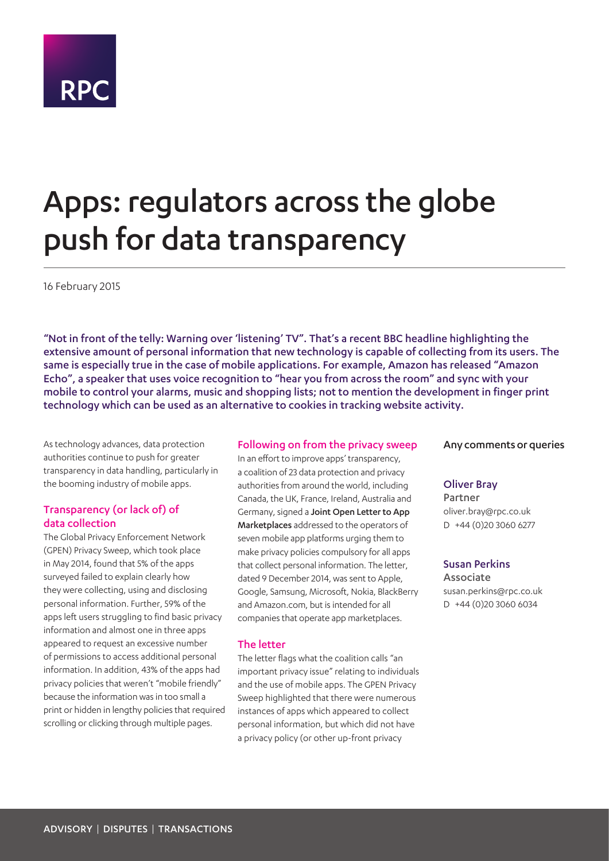# **RPC**

## Apps: regulators across the globe push for data transparency

16 February 2015

"Not in front of the telly: Warning over 'listening' TV". That's a recent BBC headline highlighting the extensive amount of personal information that new technology is capable of collecting from its users. The same is especially true in the case of mobile applications. For example, Amazon has released "Amazon Echo", a speaker that uses voice recognition to "hear you from across the room" and sync with your mobile to control your alarms, music and shopping lists; not to mention the development in finger print technology which can be used as an alternative to cookies in tracking website activity.

As technology advances, data protection authorities continue to push for greater transparency in data handling, particularly in the booming industry of mobile apps.

#### Transparency (or lack of) of data collection

The Global Privacy Enforcement Network (GPEN) Privacy Sweep, which took place in May 2014, found that 5% of the apps surveyed failed to explain clearly how they were collecting, using and disclosing personal information. Further, 59% of the apps left users struggling to find basic privacy information and almost one in three apps appeared to request an excessive number of permissions to access additional personal information. In addition, 43% of the apps had privacy policies that weren't "mobile friendly" because the information was in too small a print or hidden in lengthy policies that required scrolling or clicking through multiple pages.

#### Following on from the privacy sweep

In an effort to improve apps' transparency, a coalition of 23 data protection and privacy authorities from around the world, including Canada, the UK, France, Ireland, Australia and Germany, signed a Joint Open Letter to App Marketplaces addressed to the operators of seven mobile app platforms urging them to make privacy policies compulsory for all apps that collect personal information. The letter, dated 9 December 2014, was sent to Apple, Google, Samsung, Microsoft, Nokia, BlackBerry and Amazon.com, but is intended for all companies that operate app marketplaces.

#### The letter

The letter flags what the coalition calls "an important privacy issue" relating to individuals and the use of mobile apps. The GPEN Privacy Sweep highlighted that there were numerous instances of apps which appeared to collect personal information, but which did not have a privacy policy (or other up-front privacy

#### Any comments or queries

#### Oliver Bray

Partner oliver.bray@rpc.co.uk D +44 (0)20 3060 6277

#### Susan Perkins

Associate susan.perkins@rpc.co.uk D +44 (0)20 3060 6034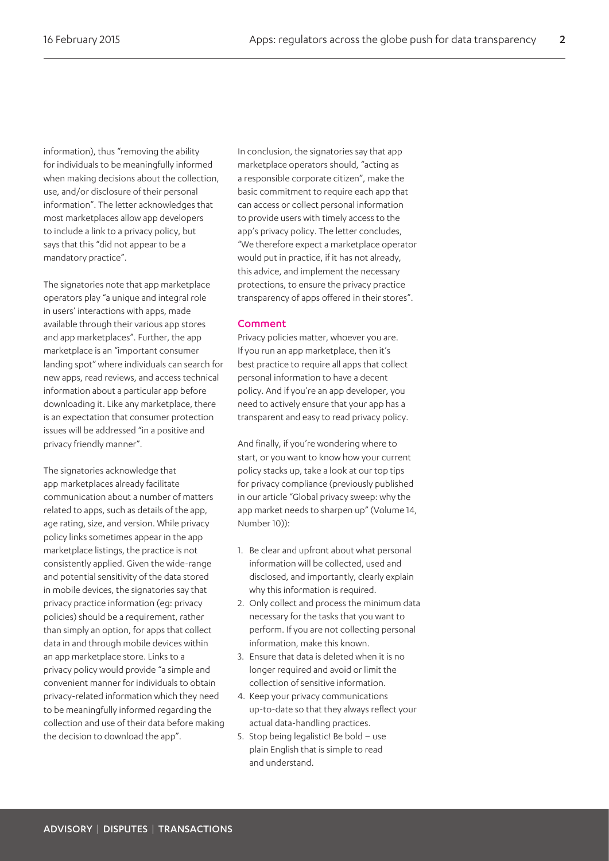information), thus "removing the ability for individuals to be meaningfully informed when making decisions about the collection, use, and/or disclosure of their personal information". The letter acknowledges that most marketplaces allow app developers to include a link to a privacy policy, but says that this "did not appear to be a mandatory practice".

The signatories note that app marketplace operators play "a unique and integral role in users' interactions with apps, made available through their various app stores and app marketplaces". Further, the app marketplace is an "important consumer landing spot" where individuals can search for new apps, read reviews, and access technical information about a particular app before downloading it. Like any marketplace, there is an expectation that consumer protection issues will be addressed "in a positive and privacy friendly manner".

The signatories acknowledge that app marketplaces already facilitate communication about a number of matters related to apps, such as details of the app, age rating, size, and version. While privacy policy links sometimes appear in the app marketplace listings, the practice is not consistently applied. Given the wide-range and potential sensitivity of the data stored in mobile devices, the signatories say that privacy practice information (eg: privacy policies) should be a requirement, rather than simply an option, for apps that collect data in and through mobile devices within an app marketplace store. Links to a privacy policy would provide "a simple and convenient manner for individuals to obtain privacy-related information which they need to be meaningfully informed regarding the collection and use of their data before making the decision to download the app".

In conclusion, the signatories say that app marketplace operators should, "acting as a responsible corporate citizen", make the basic commitment to require each app that can access or collect personal information to provide users with timely access to the app's privacy policy. The letter concludes, "We therefore expect a marketplace operator would put in practice, if it has not already, this advice, and implement the necessary protections, to ensure the privacy practice transparency of apps offered in their stores".

#### Comment

Privacy policies matter, whoever you are. If you run an app marketplace, then it's best practice to require all apps that collect personal information to have a decent policy. And if you're an app developer, you need to actively ensure that your app has a transparent and easy to read privacy policy.

And finally, if you're wondering where to start, or you want to know how your current policy stacks up, take a look at our top tips for privacy compliance (previously published in our article "Global privacy sweep: why the app market needs to sharpen up" (Volume 14, Number 10)):

- 1. Be clear and upfront about what personal information will be collected, used and disclosed, and importantly, clearly explain why this information is required.
- 2. Only collect and process the minimum data necessary for the tasks that you want to perform. If you are not collecting personal information, make this known.
- 3. Ensure that data is deleted when it is no longer required and avoid or limit the collection of sensitive information.
- 4. Keep your privacy communications up-to-date so that they always reflect your actual data-handling practices.
- 5. Stop being legalistic! Be bold use plain English that is simple to read and understand.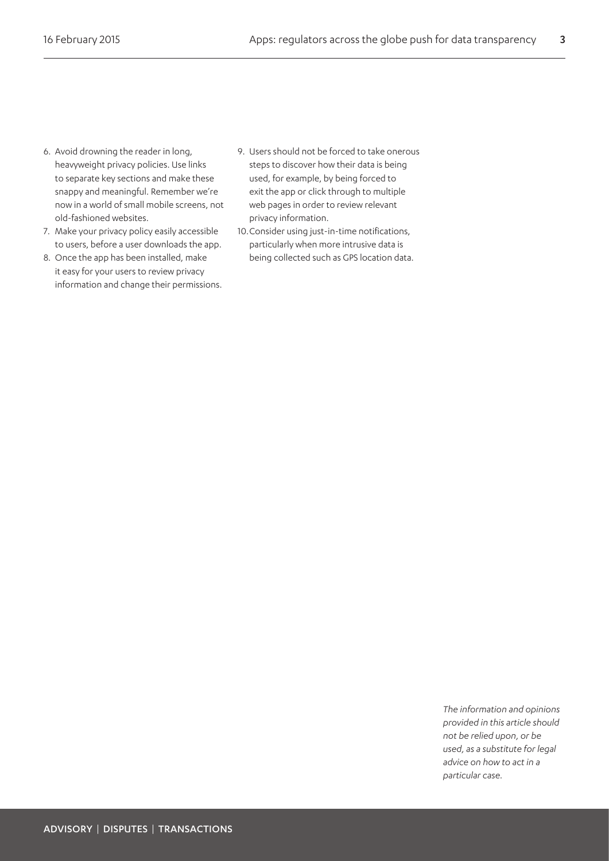- 6. Avoid drowning the reader in long, heavyweight privacy policies. Use links to separate key sections and make these snappy and meaningful. Remember we're now in a world of small mobile screens, not old-fashioned websites.
- 7. Make your privacy policy easily accessible to users, before a user downloads the app.
- 8. Once the app has been installed, make it easy for your users to review privacy information and change their permissions.
- 9. Users should not be forced to take onerous steps to discover how their data is being used, for example, by being forced to exit the app or click through to multiple web pages in order to review relevant privacy information.
- 10.Consider using just-in-time notifications, particularly when more intrusive data is being collected such as GPS location data.

*The information and opinions provided in this article should not be relied upon, or be used, as a substitute for legal advice on how to act in a particular case.*